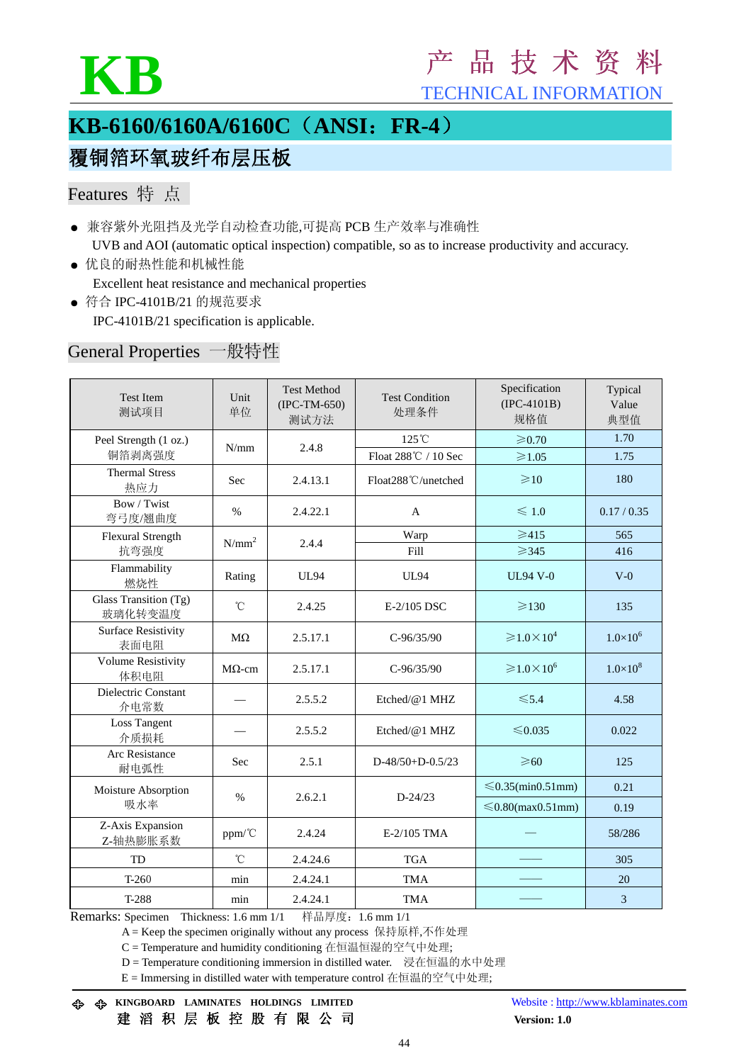

# KB 产 品 技 术 资 料

TECHNICAL INFORMATION

# **KB-6160/6160A/6160C**(**ANSI**:**FR-4**)

# 覆铜箔环氧玻纤布层压板

# Features 特 点

- 兼容紫外光阻挡及光学自动检查功能,可提高 PCB 生产效率与准确性 UVB and AOI (automatic optical inspection) compatible, so as to increase productivity and accuracy.
- 优良的耐热性能和机械性能 Excellent heat resistance and mechanical properties
- 符合 IPC-4101B/21 的规范要求 IPC-4101B/21 specification is applicable.

#### General Properties 一般特性

| <b>Test Item</b><br>测试项目           | Unit<br>单位    | <b>Test Method</b><br>$(IPC-TM-650)$<br>测试方法 | <b>Test Condition</b><br>处理条件 | Specification<br>$(IPC-4101B)$<br>规格值    | Typical<br>Value<br>典型值 |
|------------------------------------|---------------|----------------------------------------------|-------------------------------|------------------------------------------|-------------------------|
| Peel Strength (1 oz.)              | N/mm          | 2.4.8                                        | $125^{\circ}$ C               | $\geqslant 0.70$                         | 1.70                    |
| 铜箔剥离强度                             |               |                                              | Float 288℃ / 10 Sec           | $\geqslant$ 1.05                         | 1.75                    |
| <b>Thermal Stress</b><br>热应力       | Sec           | 2.4.13.1                                     | Float288°C/unetched           | $\geq 10$                                | 180                     |
| Bow / Twist<br>弯弓度/翘曲度             | $\%$          | 2.4.22.1                                     | A                             | $\leqslant$ 1.0                          | 0.17 / 0.35             |
| Flexural Strength                  | $N/mm^2$      | 2.4.4                                        | Warp                          | $\geq 415$                               | 565                     |
| 抗弯强度                               |               |                                              | Fill                          | $\geqslant$ 345                          | 416                     |
| Flammability<br>燃烧性                | Rating        | <b>UL94</b>                                  | <b>UL94</b>                   | <b>UL94 V-0</b>                          | $V-0$                   |
| Glass Transition (Tg)<br>玻璃化转变温度   | $^{\circ}$ C  | 2.4.25                                       | E-2/105 DSC                   | $\geq 130$                               | 135                     |
| <b>Surface Resistivity</b><br>表面电阻 | $M\Omega$     | 2.5.17.1                                     | $C-96/35/90$                  | $\geqslant$ 1.0 $\times$ 10 <sup>4</sup> | $1.0 \times 10^{6}$     |
| <b>Volume Resistivity</b><br>体积电阻  | $M\Omega$ -cm | 2.5.17.1                                     | $C-96/35/90$                  | $\geqslant$ 1.0 $\times$ 10 <sup>6</sup> | $1.0\times10^{8}$       |
| Dielectric Constant<br>介电常数        |               | 2.5.5.2                                      | Etched/@1 MHZ                 | $\leq 5.4$                               | 4.58                    |
| <b>Loss Tangent</b><br>介质损耗        |               | 2.5.5.2                                      | Etched/@1 MHZ                 | ≤ $0.035$                                | 0.022                   |
| Arc Resistance<br>耐电弧性             | Sec           | 2.5.1                                        | $D-48/50+D-0.5/23$            | $\geqslant 60$                           | 125                     |
| Moisture Absorption<br>吸水率         | $\%$          | 2.6.2.1                                      | $D - 24/23$                   | $\leq 0.35$ (min0.51mm)                  | 0.21                    |
|                                    |               |                                              |                               | $\leq 0.80$ (max $0.51$ mm)              | 0.19                    |
| Z-Axis Expansion<br>Z-轴热膨胀系数       | ppm/°C        | 2.4.24                                       | E-2/105 TMA                   |                                          | 58/286                  |
| TD                                 | $^{\circ}$ C  | 2.4.24.6                                     | <b>TGA</b>                    |                                          | 305                     |
| $T-260$                            | min           | 2.4.24.1                                     | <b>TMA</b>                    |                                          | 20                      |
| T-288                              | min           | 2.4.24.1                                     | <b>TMA</b>                    |                                          | 3                       |

Remarks: Specimen Thickness: 1.6 mm 1/1 样品厚度: 1.6 mm 1/1

A = Keep the specimen originally without any process 保持原样,不作处理

C = Temperature and humidity conditioning 在恒温恒湿的空气中处理;

D = Temperature conditioning immersion in distilled water. 浸在恒温的水中处理

E = Immersing in distilled water with temperature control 在恒温的空气中处理;

 **KINGBOARD LAMINATES HOLDINGS LIMITED** Website : http://www.kblaminates.com 建滔积层板控股有限公司 **Version: 1.0**